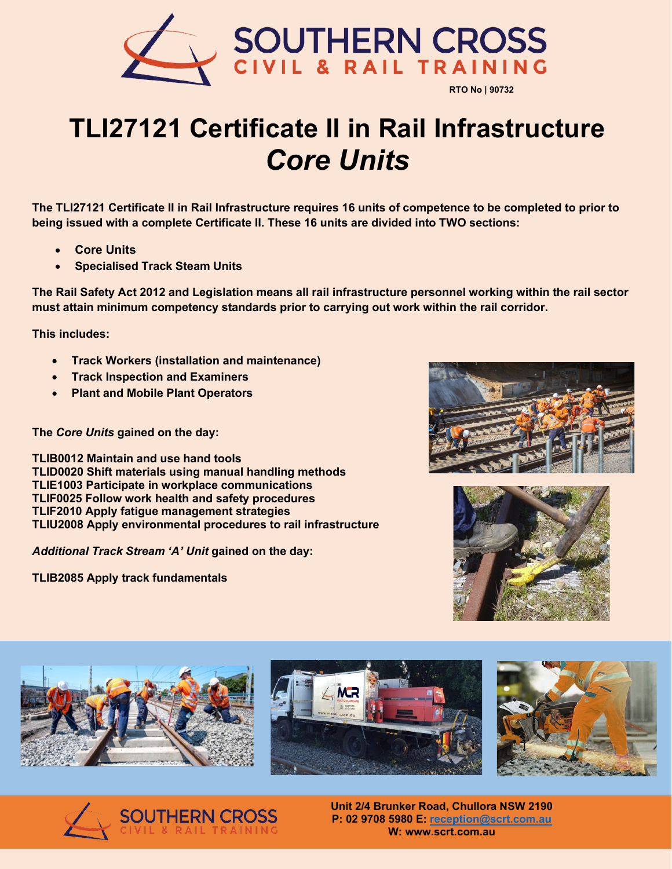

## **TLI27121 Certificate ll in Rail Infrastructure** *Core Units*

**The TLI27121 Certificate II in Rail Infrastructure requires 16 units of competence to be completed to prior to being issued with a complete Certificate II. These 16 units are divided into TWO sections:**

- **Core Units**
- **Specialised Track Steam Units**

**The Rail Safety Act 2012 and Legislation means all rail infrastructure personnel working within the rail sector must attain minimum competency standards prior to carrying out work within the rail corridor.** 

**This includes:**

- **Track Workers (installation and maintenance)**
- **Track Inspection and Examiners**
- **Plant and Mobile Plant Operators**

## **The** *Core Units* **gained on the day:**

**TLIB0012 Maintain and use hand tools TLID0020 Shift materials using manual handling methods TLIE1003 Participate in workplace communications TLIF0025 Follow work health and safety procedures TLIF2010 Apply fatigue management strategies TLIU2008 Apply environmental procedures to rail infrastructure** 

*Additional Track Stream 'A' Unit* **gained on the day:** 

**TLIB2085 Apply track fundamentals** 













**Unit 2/4 Brunker Road, Chullora NSW 2190 P: 02 9708 5980 E: [reception@scrt.com.au](mailto:reception@scrt.com.au) W: www.scrt.com.au**